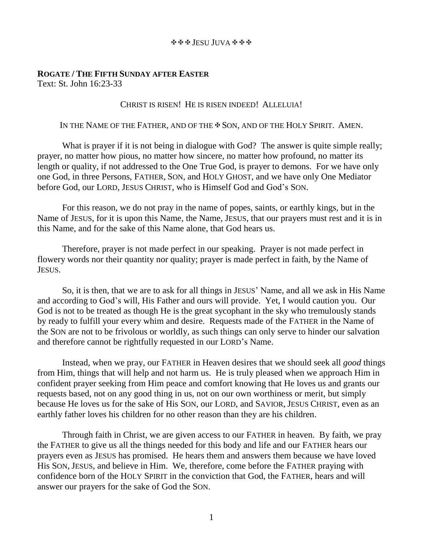#### JESU JUVA

# **ROGATE / THE FIFTH SUNDAY AFTER EASTER** Text: St. John 16:23-33

## CHRIST IS RISEN! HE IS RISEN INDEED! ALLELUIA!

### IN THE NAME OF THE FATHER, AND OF THE  $\clubsuit$  Son, and of the HOLY SPIRIT. AMEN.

What is prayer if it is not being in dialogue with God? The answer is quite simple really; prayer, no matter how pious, no matter how sincere, no matter how profound, no matter its length or quality, if not addressed to the One True God, is prayer to demons. For we have only one God, in three Persons, FATHER, SON, and HOLY GHOST, and we have only One Mediator before God, our LORD, JESUS CHRIST, who is Himself God and God's SON.

For this reason, we do not pray in the name of popes, saints, or earthly kings, but in the Name of JESUS, for it is upon this Name, the Name, JESUS, that our prayers must rest and it is in this Name, and for the sake of this Name alone, that God hears us.

Therefore, prayer is not made perfect in our speaking. Prayer is not made perfect in flowery words nor their quantity nor quality; prayer is made perfect in faith, by the Name of JESUS.

So, it is then, that we are to ask for all things in JESUS' Name, and all we ask in His Name and according to God's will, His Father and ours will provide. Yet, I would caution you. Our God is not to be treated as though He is the great sycophant in the sky who tremulously stands by ready to fulfill your every whim and desire. Requests made of the FATHER in the Name of the SON are not to be frivolous or worldly, as such things can only serve to hinder our salvation and therefore cannot be rightfully requested in our LORD's Name.

Instead, when we pray, our FATHER in Heaven desires that we should seek all *good* things from Him, things that will help and not harm us. He is truly pleased when we approach Him in confident prayer seeking from Him peace and comfort knowing that He loves us and grants our requests based, not on any good thing in us, not on our own worthiness or merit, but simply because He loves us for the sake of His SON, our LORD, and SAVIOR, JESUS CHRIST, even as an earthly father loves his children for no other reason than they are his children.

Through faith in Christ, we are given access to our FATHER in heaven. By faith, we pray the FATHER to give us all the things needed for this body and life and our FATHER hears our prayers even as JESUS has promised. He hears them and answers them because we have loved His SON, JESUS, and believe in Him. We, therefore, come before the FATHER praying with confidence born of the HOLY SPIRIT in the conviction that God, the FATHER, hears and will answer our prayers for the sake of God the SON.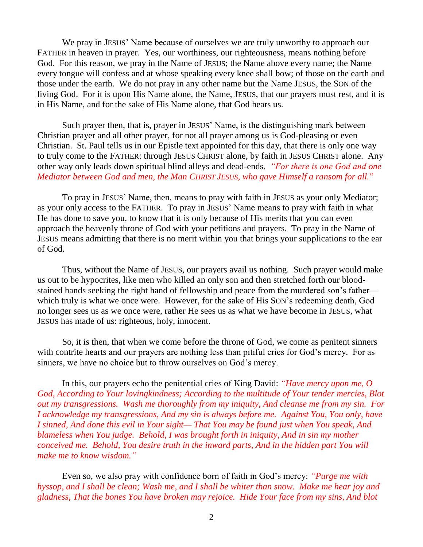We pray in JESUS' Name because of ourselves we are truly unworthy to approach our FATHER in heaven in prayer. Yes, our worthiness, our righteousness, means nothing before God. For this reason, we pray in the Name of JESUS; the Name above every name; the Name every tongue will confess and at whose speaking every knee shall bow; of those on the earth and those under the earth. We do not pray in any other name but the Name JESUS, the SON of the living God. For it is upon His Name alone, the Name, JESUS, that our prayers must rest, and it is in His Name, and for the sake of His Name alone, that God hears us.

Such prayer then, that is, prayer in JESUS' Name, is the distinguishing mark between Christian prayer and all other prayer, for not all prayer among us is God-pleasing or even Christian. St. Paul tells us in our Epistle text appointed for this day, that there is only one way to truly come to the FATHER: through JESUS CHRIST alone, by faith in JESUS CHRIST alone. Any other way only leads down spiritual blind alleys and dead-ends. *"For there is one God and one Mediator between God and men, the Man CHRIST JESUS, who gave Himself a ransom for all.*"

To pray in JESUS' Name, then, means to pray with faith in JESUS as your only Mediator; as your only access to the FATHER. To pray in JESUS' Name means to pray with faith in what He has done to save you, to know that it is only because of His merits that you can even approach the heavenly throne of God with your petitions and prayers. To pray in the Name of JESUS means admitting that there is no merit within you that brings your supplications to the ear of God.

Thus, without the Name of JESUS, our prayers avail us nothing. Such prayer would make us out to be hypocrites, like men who killed an only son and then stretched forth our bloodstained hands seeking the right hand of fellowship and peace from the murdered son's father which truly is what we once were. However, for the sake of His SON's redeeming death, God no longer sees us as we once were, rather He sees us as what we have become in JESUS, what JESUS has made of us: righteous, holy, innocent.

So, it is then, that when we come before the throne of God, we come as penitent sinners with contrite hearts and our prayers are nothing less than pitiful cries for God's mercy. For as sinners, we have no choice but to throw ourselves on God's mercy.

In this, our prayers echo the penitential cries of King David: *"Have mercy upon me, O God, According to Your lovingkindness; According to the multitude of Your tender mercies, Blot out my transgressions. Wash me thoroughly from my iniquity, And cleanse me from my sin. For I acknowledge my transgressions, And my sin is always before me. Against You, You only, have I sinned, And done this evil in Your sight— That You may be found just when You speak, And blameless when You judge. Behold, I was brought forth in iniquity, And in sin my mother conceived me. Behold, You desire truth in the inward parts, And in the hidden part You will make me to know wisdom."*

Even so, we also pray with confidence born of faith in God's mercy: *"Purge me with hyssop, and I shall be clean; Wash me, and I shall be whiter than snow. Make me hear joy and gladness, That the bones You have broken may rejoice. Hide Your face from my sins, And blot*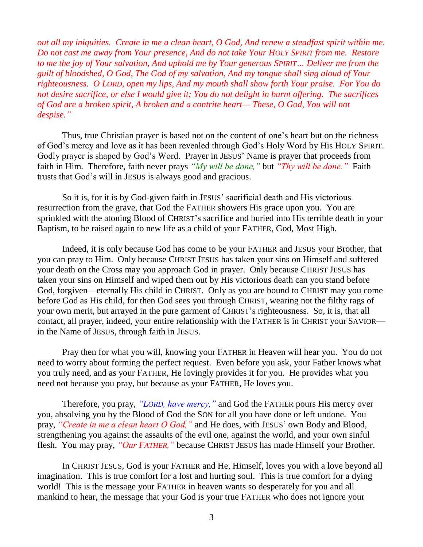*out all my iniquities. Create in me a clean heart, O God, And renew a steadfast spirit within me. Do not cast me away from Your presence, And do not take Your HOLY SPIRIT from me. Restore to me the joy of Your salvation, And uphold me by Your generous SPIRIT… Deliver me from the guilt of bloodshed, O God, The God of my salvation, And my tongue shall sing aloud of Your righteousness. O LORD, open my lips, And my mouth shall show forth Your praise. For You do not desire sacrifice, or else I would give it; You do not delight in burnt offering. The sacrifices of God are a broken spirit, A broken and a contrite heart— These, O God, You will not despise."*

Thus, true Christian prayer is based not on the content of one's heart but on the richness of God's mercy and love as it has been revealed through God's Holy Word by His HOLY SPIRIT. Godly prayer is shaped by God's Word. Prayer in JESUS' Name is prayer that proceeds from faith in Him. Therefore, faith never prays *"My will be done,"* but *"Thy will be done."* Faith trusts that God's will in JESUS is always good and gracious.

So it is, for it is by God-given faith in JESUS' sacrificial death and His victorious resurrection from the grave, that God the FATHER showers His grace upon you. You are sprinkled with the atoning Blood of CHRIST's sacrifice and buried into His terrible death in your Baptism, to be raised again to new life as a child of your FATHER, God, Most High.

Indeed, it is only because God has come to be your FATHER and JESUS your Brother, that you can pray to Him. Only because CHRIST JESUS has taken your sins on Himself and suffered your death on the Cross may you approach God in prayer. Only because CHRIST JESUS has taken your sins on Himself and wiped them out by His victorious death can you stand before God, forgiven—eternally His child in CHRIST. Only as you are bound to CHRIST may you come before God as His child, for then God sees you through CHRIST, wearing not the filthy rags of your own merit, but arrayed in the pure garment of CHRIST's righteousness. So, it is, that all contact, all prayer, indeed, your entire relationship with the FATHER is in CHRIST your SAVIOR in the Name of JESUS, through faith in JESUS.

Pray then for what you will, knowing your FATHER in Heaven will hear you. You do not need to worry about forming the perfect request. Even before you ask, your Father knows what you truly need, and as your FATHER, He lovingly provides it for you. He provides what you need not because you pray, but because as your FATHER, He loves you.

Therefore, you pray, *"LORD, have mercy,"* and God the FATHER pours His mercy over you, absolving you by the Blood of God the SON for all you have done or left undone. You pray, *"Create in me a clean heart O God,"* and He does, with JESUS' own Body and Blood, strengthening you against the assaults of the evil one, against the world, and your own sinful flesh. You may pray, *"Our FATHER,"* because CHRIST JESUS has made Himself your Brother.

In CHRIST JESUS, God is your FATHER and He, Himself, loves you with a love beyond all imagination. This is true comfort for a lost and hurting soul. This is true comfort for a dying world! This is the message your FATHER in heaven wants so desperately for you and all mankind to hear, the message that your God is your true FATHER who does not ignore your